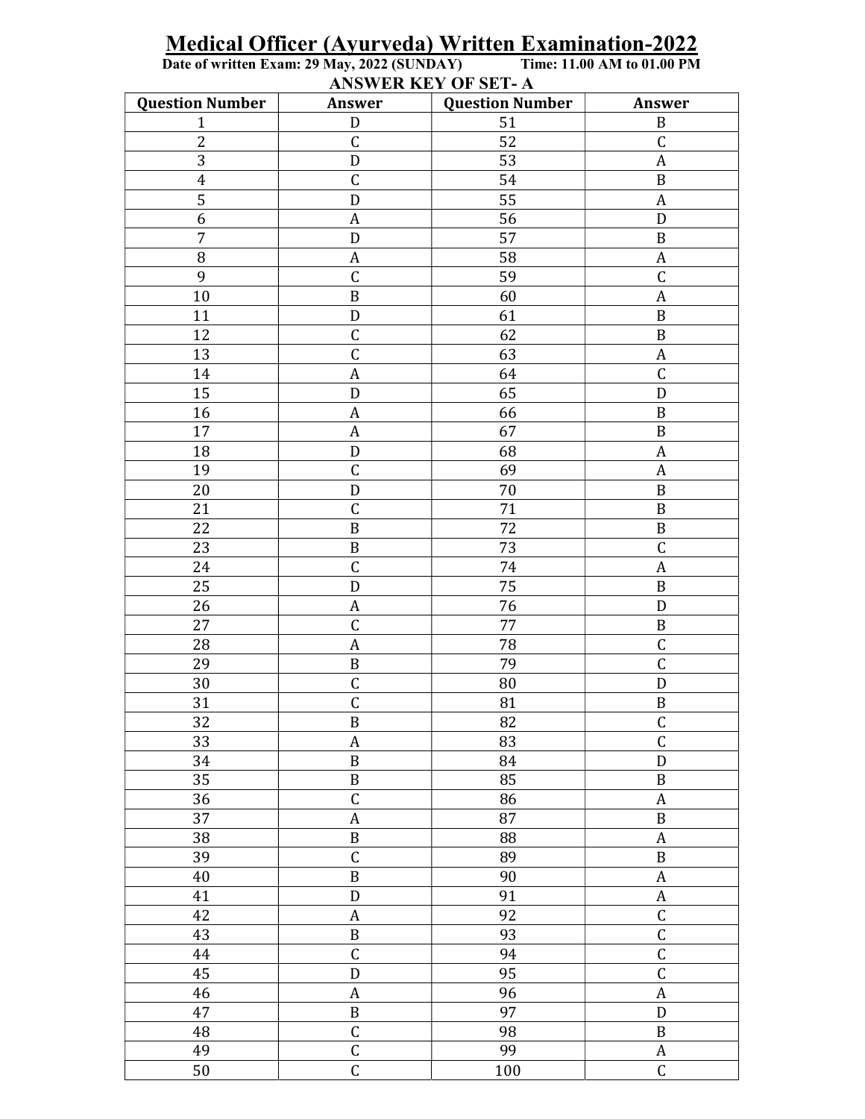| <b>ANSWER KEY OF SET-A</b> |                         |                        |                         |  |  |  |
|----------------------------|-------------------------|------------------------|-------------------------|--|--|--|
| <b>Question Number</b>     | Answer                  | <b>Question Number</b> | Answer                  |  |  |  |
| $\mathbf{1}$               | ${\rm D}$               | 51                     | $\, {\bf B}$            |  |  |  |
| $\overline{c}$             | $\overline{C}$          | 52                     | $\mathsf C$             |  |  |  |
| 3                          | ${\rm D}$               | 53                     | $\boldsymbol{A}$        |  |  |  |
| $\overline{4}$             | $\mathsf C$             | 54                     | $\, {\bf B}$            |  |  |  |
| $\overline{5}$             | ${\bf D}$               | 55                     | $\boldsymbol{A}$        |  |  |  |
| 6                          | $\boldsymbol{A}$        | 56                     | $\mathbf D$             |  |  |  |
| 7                          | ${\rm D}$               | 57                     | $\, {\bf B}$            |  |  |  |
| 8                          | $\boldsymbol{A}$        | 58                     | $\boldsymbol{A}$        |  |  |  |
| 9                          | $\mathsf C$             | 59                     | $\mathsf C$             |  |  |  |
| 10                         | $\, {\bf B}$            | 60                     | $\boldsymbol{A}$        |  |  |  |
| 11                         | $\mathbf D$             | 61                     | $\, {\bf B}$            |  |  |  |
| 12                         | $\mathsf C$             | 62                     | $\, {\bf B}$            |  |  |  |
| 13                         | $\overline{C}$          | 63                     | $\boldsymbol{A}$        |  |  |  |
| 14                         | $\boldsymbol{A}$        | 64                     | $\mathsf C$             |  |  |  |
| 15                         | $\mathbf D$             | 65                     | D                       |  |  |  |
| 16                         | $\boldsymbol{A}$        | 66                     | $\, {\bf B}$            |  |  |  |
| 17                         | $\boldsymbol{A}$        | 67                     | $\, {\bf B}$            |  |  |  |
| 18                         | $\mathbf D$             | 68                     | $\boldsymbol{A}$        |  |  |  |
| 19                         | $\mathsf C$             | 69                     | $\boldsymbol{A}$        |  |  |  |
| 20                         | ${\rm D}$               | 70                     | $\, {\bf B}$            |  |  |  |
| 21                         | $\overline{\mathsf{C}}$ | 71                     | $\, {\bf B}$            |  |  |  |
| 22                         | $\, {\bf B}$            | 72                     | $\, {\bf B}$            |  |  |  |
| 23                         | $\, {\bf B}$            | 73                     | $\mathsf C$             |  |  |  |
| 24                         | $\mathsf C$             | 74                     | A                       |  |  |  |
| 25                         | ${\bf D}$               | 75                     | $\, {\bf B}$            |  |  |  |
| 26                         | $\boldsymbol{A}$        | 76                     | ${\rm D}$               |  |  |  |
| 27                         | $\mathsf C$             | 77                     | $\, {\bf B}$            |  |  |  |
| 28                         | $\boldsymbol{A}$        | 78                     | $\mathsf C$             |  |  |  |
| 29                         | $\, {\bf B}$            | 79                     | $\overline{C}$          |  |  |  |
| 30                         | $\mathsf C$             | 80                     | $\mathbf D$             |  |  |  |
| 31                         | $\mathsf{C}$            | 81                     | B                       |  |  |  |
| 32                         | $\, {\bf B}$            | 82                     | $\mathsf C$             |  |  |  |
| 33                         | $\boldsymbol{A}$        | 83                     | $\overline{C}$          |  |  |  |
| 34                         | $\, {\bf B}$            | 84                     | $\mathbf D$             |  |  |  |
| 35                         | $\, {\bf B}$            | 85                     | $\, {\bf B}$            |  |  |  |
| 36                         | $\overline{C}$          | 86                     | $\boldsymbol{A}$        |  |  |  |
| 37                         | $\boldsymbol{A}$        | 87                     | $\, {\bf B}$            |  |  |  |
| 38                         | $\, {\bf B}$            | 88                     | $\boldsymbol{A}$        |  |  |  |
| 39                         | $\mathsf C$             | 89                     | $\, {\bf B}$            |  |  |  |
| 40                         | $\, {\bf B}$            | 90                     | $\boldsymbol{A}$        |  |  |  |
| 41                         | ${\rm D}$               | 91                     | $\boldsymbol{A}$        |  |  |  |
| 42                         | $\boldsymbol{A}$        | 92                     | $\mathsf C$             |  |  |  |
| 43                         | $\, {\bf B}$            | 93                     | $\overline{\mathsf{C}}$ |  |  |  |
| 44                         | $\overline{C}$          | 94                     | $\overline{C}$          |  |  |  |
| 45                         | ${\bf D}$               | 95                     | $\mathsf C$             |  |  |  |
| 46                         | $\boldsymbol{A}$        | 96                     | $\boldsymbol{A}$        |  |  |  |
| 47                         | $\, {\bf B}$            | 97                     | $\mathbf D$             |  |  |  |
| 48                         | $\overline{\mathsf{C}}$ | 98                     | $\, {\bf B}$            |  |  |  |
| 49                         | $\overline{\mathsf{C}}$ | 99                     | $\boldsymbol{A}$        |  |  |  |
| $50\,$                     | $\overline{\mathsf{C}}$ | 100                    | $\overline{\mathsf{C}}$ |  |  |  |

## Medical Officer (Ayurveda) Written Examination-2022<br>Date of written Exam: 29 May, 2022 (SUNDAY) Time: 11.00 AM to 01.00 PM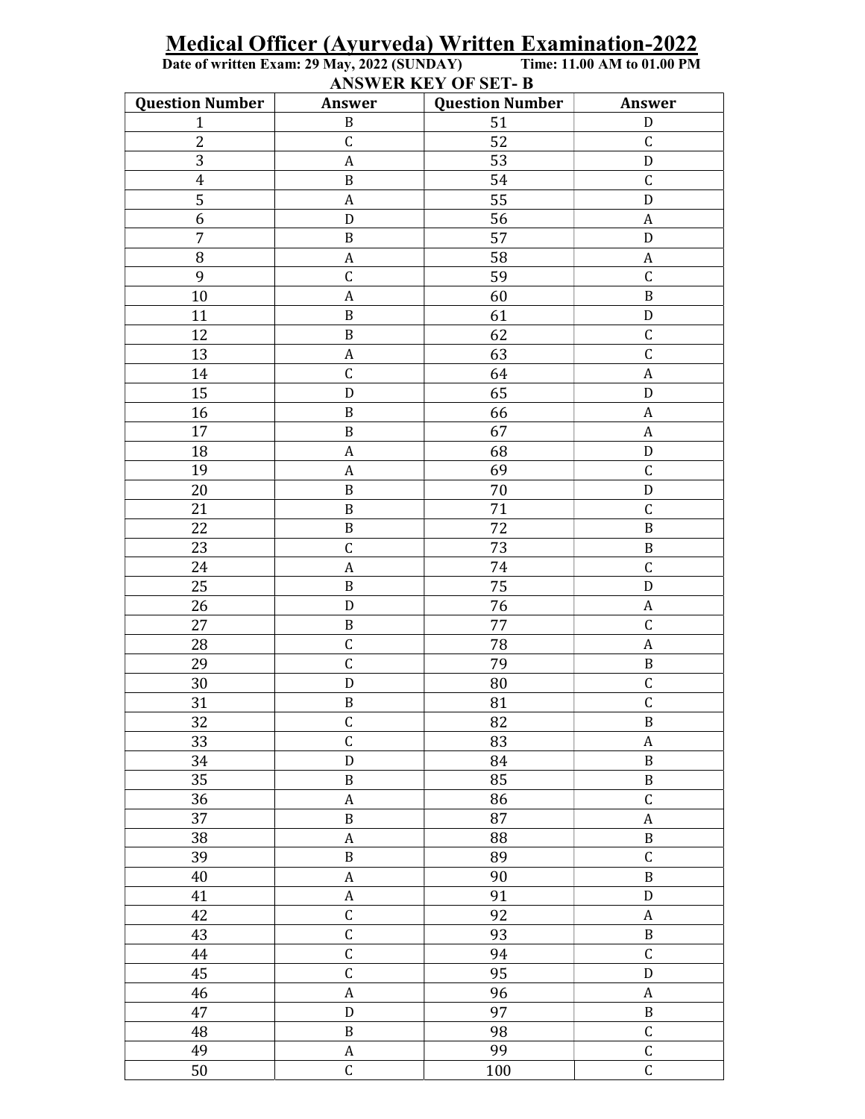## Medical Officer (Ayurveda) Written Examination-2022<br>Date of written Exam: 29 May, 2022 (SUNDAY) Time: 11.00 AM to 01.00 PM

ANSWER KEY OF SET-B

| <b>Question Number</b>  | Answer                  | <b>Question Number</b> | Answer                  |
|-------------------------|-------------------------|------------------------|-------------------------|
| $\mathbf{1}$            | $\, {\bf B}$            | 51                     | ${\rm D}$               |
| $\overline{2}$          | $\mathsf C$             | 52                     | $\mathsf C$             |
| 3                       | $\boldsymbol{A}$        | 53                     | ${\bf D}$               |
| $\overline{\mathbf{r}}$ | $\, {\bf B}$            | 54                     | $\mathsf C$             |
| 5                       | $\boldsymbol{A}$        | 55                     | $\mathbf D$             |
| $\overline{6}$          | ${\bf D}$               | 56                     | $\boldsymbol{A}$        |
| $\sqrt{ }$              | $\, {\bf B}$            | 57                     | ${\rm D}$               |
| $\, 8$                  | $\boldsymbol{A}$        | 58                     | $\boldsymbol{A}$        |
| $\mathbf{9}$            | $\mathsf C$             | 59                     | $\mathsf C$             |
| 10                      | $\boldsymbol{A}$        | 60                     | $\, {\bf B}$            |
| 11                      | $\, {\bf B}$            | 61                     | ${\bf D}$               |
| 12                      | $\, {\bf B}$            | 62                     | $\mathsf C$             |
| 13                      | $\boldsymbol{A}$        | 63                     | $\overline{\mathsf{C}}$ |
| 14                      | $\mathsf C$             | 64                     | $\boldsymbol{A}$        |
| 15                      | $\mathbf D$             | 65                     | $\mathbf D$             |
| 16                      | $\, {\bf B}$            | 66                     | $\boldsymbol{A}$        |
| 17                      | $\, {\bf B}$            | 67                     | $\boldsymbol{A}$        |
| 18                      | $\boldsymbol{A}$        | 68                     | ${\bf D}$               |
| 19                      | $\boldsymbol{A}$        | 69                     | $\mathsf C$             |
| 20                      | $\, {\bf B}$            | $70\,$                 | $\mathbf D$             |
| 21                      | $\, {\bf B}$            | 71                     | $\mathsf C$             |
| 22                      | $\, {\bf B}$            | 72                     | $\, {\bf B}$            |
| 23                      | $\mathsf C$             | 73                     | $\, {\bf B}$            |
| 24                      | $\boldsymbol{A}$        | 74                     | $\mathsf C$             |
| 25                      | $\, {\bf B}$            | 75                     | $\mathbf D$             |
| 26                      | $\mathbf D$             | 76                     | $\boldsymbol{A}$        |
| 27                      | $\, {\bf B}$            | 77                     | $\mathsf C$             |
| 28                      | $\mathsf C$             | 78                     | $\boldsymbol{A}$        |
| 29                      | $\overline{C}$          | 79                     | $\, {\bf B}$            |
| 30                      | ${\bf D}$               | 80                     | $\mathsf C$             |
| 31                      | $\, {\bf B}$            | 81                     | $\mathsf C$             |
| 32                      | $\mathsf C$             | 82                     | $\, {\bf B}$            |
| 33                      | $\mathsf C$             | 83                     | $\boldsymbol{A}$        |
| 34                      | ${\mathsf D}$           | 84                     | $\, {\bf B}$            |
| 35                      | $\, {\bf B}$            | 85                     | $\, {\bf B}$            |
| 36                      | $\boldsymbol{A}$        | 86                     | $\overline{C}$          |
| 37                      | $\, {\bf B}$            | 87                     | $\boldsymbol{A}$        |
| 38                      | $\boldsymbol{A}$        | 88                     | $\, {\bf B}$            |
| 39                      | $\, {\bf B}$            | 89                     | $\mathsf C$             |
| 40                      | $\boldsymbol{A}$        | 90                     | $\, {\bf B}$            |
| 41                      | $\boldsymbol{A}$        | 91                     | ${\bf D}$               |
| 42                      | $\mathsf C$             | 92                     | $\boldsymbol{A}$        |
| 43                      | $\overline{\mathsf{C}}$ | 93                     | $\, {\bf B}$            |
| 44                      | $\mathsf C$             | 94                     | $\mathsf C$             |
| 45                      | $\mathsf C$             | 95                     | $\mathbf D$             |
| 46                      | $\boldsymbol{A}$        | 96                     | $\boldsymbol{A}$        |
| 47                      | ${\bf D}$               | 97                     | $\, {\bf B}$            |
| $\rm 48$                | $\, {\bf B}$            | 98                     | $\mathsf C$             |
| 49                      | $\boldsymbol{A}$        | 99                     | $\mathsf C$             |
| 50                      | $\mathsf C$             | 100                    | $\mathsf C$             |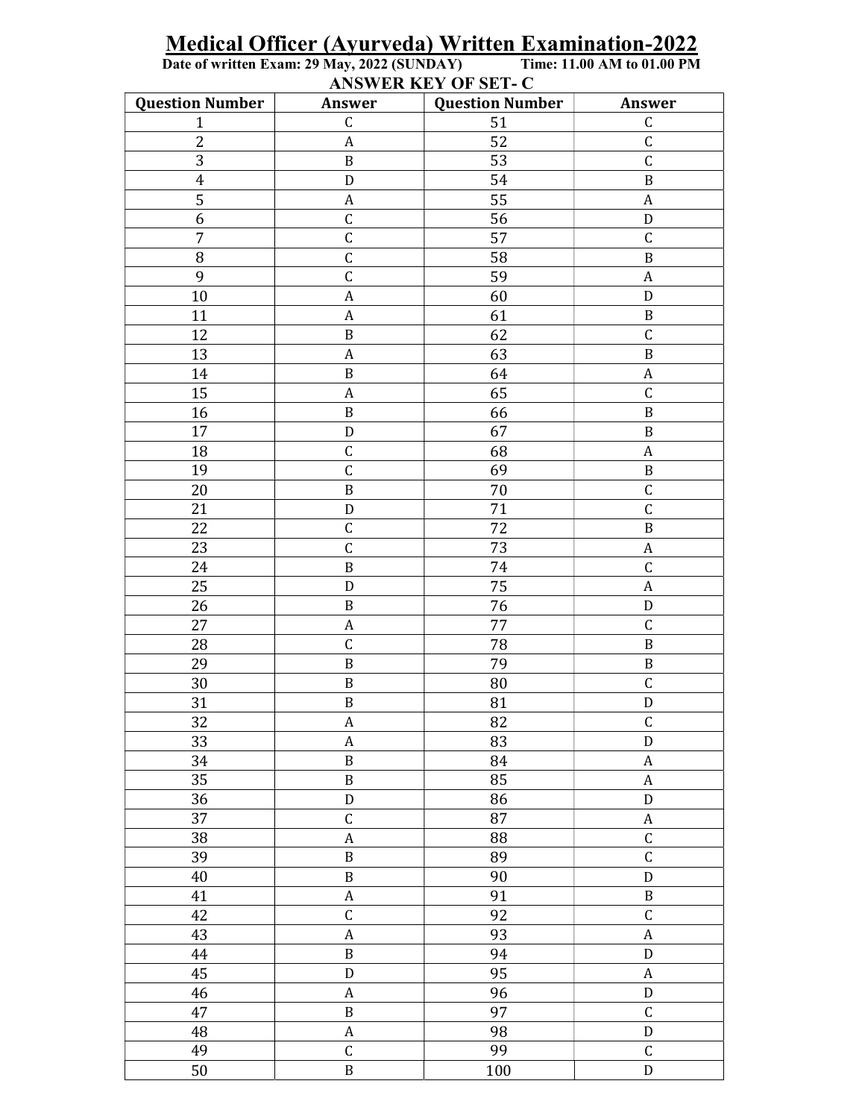Medical Officer (Ayurveda) Written Examination-2022<br>Date of written Exam: 29 May, 2022 (SUNDAY) Time: 11.00 AM to 01.00 PM<br>ANSWER KEY OF SET- C

| <b>Question Number</b> | Answer           | $\frac{1}{2}$<br><b>Question Number</b> | Answer           |
|------------------------|------------------|-----------------------------------------|------------------|
| $\mathbf{1}$           | $\mathsf C$      | 51                                      | $\mathsf C$      |
| 2                      | $\boldsymbol{A}$ | 52                                      | $\mathsf C$      |
| 3                      | $\, {\bf B}$     | 53                                      | $\mathsf C$      |
| $\boldsymbol{4}$       | ${\mathsf D}$    | 54                                      | $\, {\bf B}$     |
| $\overline{5}$         | $\boldsymbol{A}$ | 55                                      | $\boldsymbol{A}$ |
| 6                      | $\mathsf C$      | 56                                      | ${\bf D}$        |
| $\overline{7}$         | $\mathsf C$      | 57                                      | $\mathsf C$      |
| $\, 8$                 | $\mathsf C$      | 58                                      | $\, {\bf B}$     |
| 9                      | $\mathsf C$      | 59                                      | $\boldsymbol{A}$ |
| 10                     | $\boldsymbol{A}$ | 60                                      | ${\bf D}$        |
| 11                     | $\boldsymbol{A}$ | 61                                      | $\, {\bf B}$     |
| 12                     | $\, {\bf B}$     | 62                                      | $\mathsf C$      |
| 13                     | $\boldsymbol{A}$ | 63                                      | $\, {\bf B}$     |
| 14                     | $\, {\bf B}$     | 64                                      | $\boldsymbol{A}$ |
| 15                     | $\boldsymbol{A}$ | 65                                      | $\mathsf C$      |
| 16                     | $\, {\bf B}$     | 66                                      | $\, {\bf B}$     |
| 17                     | ${\bf D}$        | 67                                      | $\, {\bf B}$     |
| 18                     | $\mathsf C$      | 68                                      | $\boldsymbol{A}$ |
| 19                     | $\mathsf C$      | 69                                      | $\, {\bf B}$     |
| 20                     | $\, {\bf B}$     | 70                                      | $\mathsf C$      |
| 21                     | ${\bf D}$        | 71                                      | $\mathsf C$      |
| 22                     | $\mathsf C$      | 72                                      | $\, {\bf B}$     |
| 23                     | $\mathsf C$      | 73                                      | A                |
| 24                     | $\, {\bf B}$     | 74                                      | $\mathsf C$      |
| 25                     | ${\bf D}$        | 75                                      | $\boldsymbol{A}$ |
| 26                     | $\, {\bf B}$     | 76                                      | ${\bf D}$        |
| 27                     | A                | 77                                      | $\mathsf C$      |
| 28                     | $\mathsf C$      | 78                                      | $\, {\bf B}$     |
| 29                     | $\, {\bf B}$     | 79                                      | $\, {\bf B}$     |
| 30                     | $\, {\bf B}$     | 80                                      | $\mathsf C$      |
| 31                     | $\, {\bf B}$     | 81                                      | ${\rm D}$        |
| $\overline{32}$        | $\boldsymbol{A}$ | 82                                      | $\mathsf C$      |
| 33                     | A                | 83                                      | ${\bf D}$        |
| 34                     | $\, {\bf B}$     | 84                                      | $\boldsymbol{A}$ |
| 35                     | $\, {\bf B}$     | 85                                      | $\boldsymbol{A}$ |
| 36                     | ${\bf D}$        | 86                                      | ${\bf D}$        |
| 37                     | $\mathsf C$      | 87                                      | $\boldsymbol{A}$ |
| 38                     | $\boldsymbol{A}$ | 88                                      | $\mathsf C$      |
| 39                     | $\, {\bf B}$     | 89                                      | $\mathsf C$      |
| 40                     | $\, {\bf B}$     | 90                                      | ${\bf D}$        |
| 41                     | $\boldsymbol{A}$ | 91                                      | $\, {\bf B}$     |
| 42                     | $\mathsf C$      | 92                                      | $\mathsf C$      |
| 43                     | $\boldsymbol{A}$ | 93                                      | $\boldsymbol{A}$ |
| 44                     | $\, {\bf B}$     | 94                                      | ${\bf D}$        |
| 45                     | ${\rm D}$        | 95                                      | A                |
| 46                     | $\boldsymbol{A}$ | 96                                      | $\mathbf D$      |
| 47                     | $\, {\bf B}$     | $\overline{97}$                         | $\mathsf C$      |
| 48                     | $\boldsymbol{A}$ | 98                                      | ${\rm D}$        |
| 49                     | $\mathsf C$      | 99                                      | $\mathsf C$      |
| $50\,$                 | $\, {\bf B}$     | 100                                     | ${\mathsf D}$    |